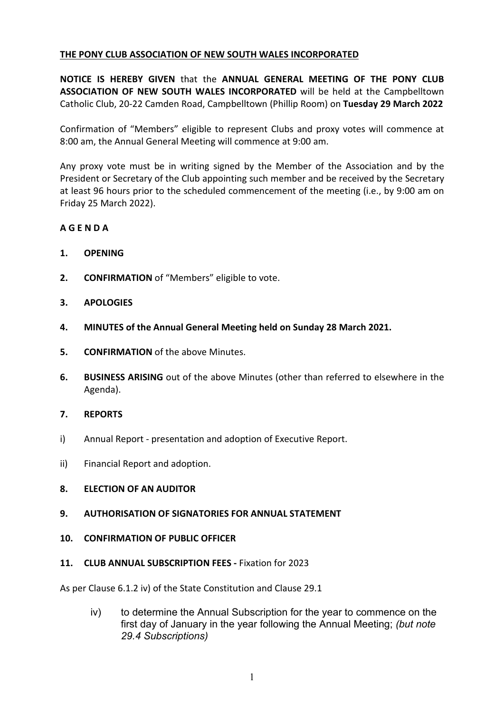## **THE PONY CLUB ASSOCIATION OF NEW SOUTH WALES INCORPORATED**

**NOTICE IS HEREBY GIVEN** that the **ANNUAL GENERAL MEETING OF THE PONY CLUB ASSOCIATION OF NEW SOUTH WALES INCORPORATED** will be held at the Campbelltown Catholic Club, 20-22 Camden Road, Campbelltown (Phillip Room) on **Tuesday 29 March 2022**

Confirmation of "Members" eligible to represent Clubs and proxy votes will commence at 8:00 am, the Annual General Meeting will commence at 9:00 am.

Any proxy vote must be in writing signed by the Member of the Association and by the President or Secretary of the Club appointing such member and be received by the Secretary at least 96 hours prior to the scheduled commencement of the meeting (i.e., by 9:00 am on Friday 25 March 2022).

# **A G E N D A**

- **1. OPENING**
- **2. CONFIRMATION** of "Members" eligible to vote.
- **3. APOLOGIES**
- **4. MINUTES of the Annual General Meeting held on Sunday 28 March 2021.**
- **5. CONFIRMATION** of the above Minutes.
- **6. BUSINESS ARISING** out of the above Minutes (other than referred to elsewhere in the Agenda).

#### **7. REPORTS**

- i) Annual Report presentation and adoption of Executive Report.
- ii) Financial Report and adoption.

#### **8. ELECTION OF AN AUDITOR**

#### **9. AUTHORISATION OF SIGNATORIES FOR ANNUAL STATEMENT**

#### **10. CONFIRMATION OF PUBLIC OFFICER**

#### **11. CLUB ANNUAL SUBSCRIPTION FEES -** Fixation for 2023

As per Clause 6.1.2 iv) of the State Constitution and Clause 29.1

iv) to determine the Annual Subscription for the year to commence on the first day of January in the year following the Annual Meeting; *(but note 29.4 Subscriptions)*